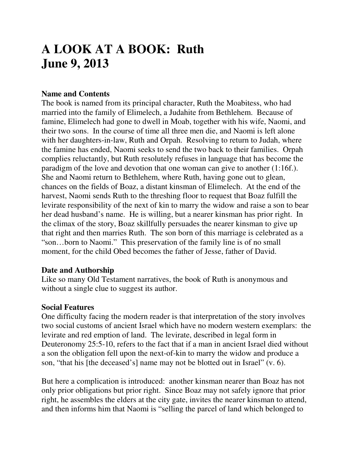# **A LOOK AT A BOOK: Ruth June 9, 2013**

### **Name and Contents**

The book is named from its principal character, Ruth the Moabitess, who had married into the family of Elimelech, a Judahite from Bethlehem. Because of famine, Elimelech had gone to dwell in Moab, together with his wife, Naomi, and their two sons. In the course of time all three men die, and Naomi is left alone with her daughters-in-law, Ruth and Orpah. Resolving to return to Judah, where the famine has ended, Naomi seeks to send the two back to their families. Orpah complies reluctantly, but Ruth resolutely refuses in language that has become the paradigm of the love and devotion that one woman can give to another (1:16f.). She and Naomi return to Bethlehem, where Ruth, having gone out to glean, chances on the fields of Boaz, a distant kinsman of Elimelech. At the end of the harvest, Naomi sends Ruth to the threshing floor to request that Boaz fulfill the levirate responsibility of the next of kin to marry the widow and raise a son to bear her dead husband's name. He is willing, but a nearer kinsman has prior right. In the climax of the story, Boaz skillfully persuades the nearer kinsman to give up that right and then marries Ruth. The son born of this marriage is celebrated as a "son…born to Naomi." This preservation of the family line is of no small moment, for the child Obed becomes the father of Jesse, father of David.

#### **Date and Authorship**

Like so many Old Testament narratives, the book of Ruth is anonymous and without a single clue to suggest its author.

#### **Social Features**

One difficulty facing the modern reader is that interpretation of the story involves two social customs of ancient Israel which have no modern western exemplars: the levirate and red emption of land. The levirate, described in legal form in Deuteronomy 25:5-10, refers to the fact that if a man in ancient Israel died without a son the obligation fell upon the next-of-kin to marry the widow and produce a son, "that his [the deceased's] name may not be blotted out in Israel" (v. 6).

But here a complication is introduced: another kinsman nearer than Boaz has not only prior obligations but prior right. Since Boaz may not safely ignore that prior right, he assembles the elders at the city gate, invites the nearer kinsman to attend, and then informs him that Naomi is "selling the parcel of land which belonged to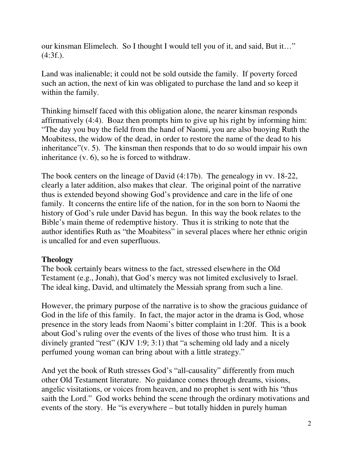our kinsman Elimelech. So I thought I would tell you of it, and said, But it…"  $(4:3f.).$ 

Land was inalienable; it could not be sold outside the family. If poverty forced such an action, the next of kin was obligated to purchase the land and so keep it within the family.

Thinking himself faced with this obligation alone, the nearer kinsman responds affirmatively (4:4). Boaz then prompts him to give up his right by informing him: "The day you buy the field from the hand of Naomi, you are also buoying Ruth the Moabitess, the widow of the dead, in order to restore the name of the dead to his inheritance" $(v, 5)$ . The kinsman then responds that to do so would impair his own inheritance (v. 6), so he is forced to withdraw.

The book centers on the lineage of David (4:17b). The genealogy in vv. 18-22, clearly a later addition, also makes that clear. The original point of the narrative thus is extended beyond showing God's providence and care in the life of one family. It concerns the entire life of the nation, for in the son born to Naomi the history of God's rule under David has begun. In this way the book relates to the Bible's main theme of redemptive history. Thus it is striking to note that the author identifies Ruth as "the Moabitess" in several places where her ethnic origin is uncalled for and even superfluous.

## **Theology**

The book certainly bears witness to the fact, stressed elsewhere in the Old Testament (e.g., Jonah), that God's mercy was not limited exclusively to Israel. The ideal king, David, and ultimately the Messiah sprang from such a line.

However, the primary purpose of the narrative is to show the gracious guidance of God in the life of this family. In fact, the major actor in the drama is God, whose presence in the story leads from Naomi's bitter complaint in 1:20f. This is a book about God's ruling over the events of the lives of those who trust him. It is a divinely granted "rest" (KJV 1:9; 3:1) that "a scheming old lady and a nicely perfumed young woman can bring about with a little strategy."

And yet the book of Ruth stresses God's "all-causality" differently from much other Old Testament literature. No guidance comes through dreams, visions, angelic visitations, or voices from heaven, and no prophet is sent with his "thus saith the Lord." God works behind the scene through the ordinary motivations and events of the story. He "is everywhere – but totally hidden in purely human